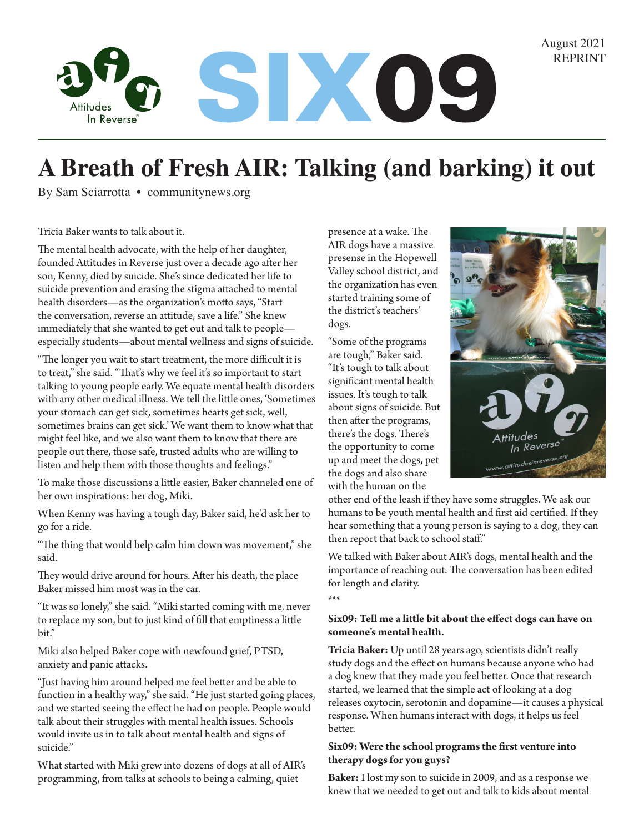August 2021



# **A Breath of Fresh AIR: Talking (and barking) it out**

By Sam Sciarrotta • communitynews.org

Tricia Baker wants to talk about it.

The mental health advocate, with the help of her daughter, founded Attitudes in Reverse just over a decade ago after her son, Kenny, died by suicide. She's since dedicated her life to suicide prevention and erasing the stigma attached to mental health disorders—as the organization's motto says, "Start the conversation, reverse an attitude, save a life." She knew immediately that she wanted to get out and talk to people especially students—about mental wellness and signs of suicide.

"The longer you wait to start treatment, the more difficult it is to treat," she said. "That's why we feel it's so important to start talking to young people early. We equate mental health disorders with any other medical illness. We tell the little ones, 'Sometimes your stomach can get sick, sometimes hearts get sick, well, sometimes brains can get sick.' We want them to know what that might feel like, and we also want them to know that there are people out there, those safe, trusted adults who are willing to listen and help them with those thoughts and feelings."

To make those discussions a little easier, Baker channeled one of her own inspirations: her dog, Miki.

When Kenny was having a tough day, Baker said, he'd ask her to go for a ride.

"The thing that would help calm him down was movement," she said.

They would drive around for hours. After his death, the place Baker missed him most was in the car.

"It was so lonely," she said. "Miki started coming with me, never to replace my son, but to just kind of fill that emptiness a little bit."

Miki also helped Baker cope with newfound grief, PTSD, anxiety and panic attacks.

"Just having him around helped me feel better and be able to function in a healthy way," she said. "He just started going places, and we started seeing the effect he had on people. People would talk about their struggles with mental health issues. Schools would invite us in to talk about mental health and signs of suicide."

What started with Miki grew into dozens of dogs at all of AIR's programming, from talks at schools to being a calming, quiet

presence at a wake. The AIR dogs have a massive presense in the Hopewell Valley school district, and the organization has even started training some of the district's teachers' dogs.

"Some of the programs are tough," Baker said. "It's tough to talk about significant mental health issues. It's tough to talk about signs of suicide. But then after the programs, there's the dogs. There's the opportunity to come up and meet the dogs, pet the dogs and also share with the human on the



other end of the leash if they have some struggles. We ask our humans to be youth mental health and first aid certified. If they hear something that a young person is saying to a dog, they can then report that back to school staff."

We talked with Baker about AIR's dogs, mental health and the importance of reaching out. The conversation has been edited for length and clarity.

#### \*\*\*

### **Six09: Tell me a little bit about the effect dogs can have on someone's mental health.**

**Tricia Baker:** Up until 28 years ago, scientists didn't really study dogs and the effect on humans because anyone who had a dog knew that they made you feel better. Once that research started, we learned that the simple act of looking at a dog releases oxytocin, serotonin and dopamine—it causes a physical response. When humans interact with dogs, it helps us feel better.

## **Six09: Were the school programs the first venture into therapy dogs for you guys?**

**Baker:** I lost my son to suicide in 2009, and as a response we knew that we needed to get out and talk to kids about mental